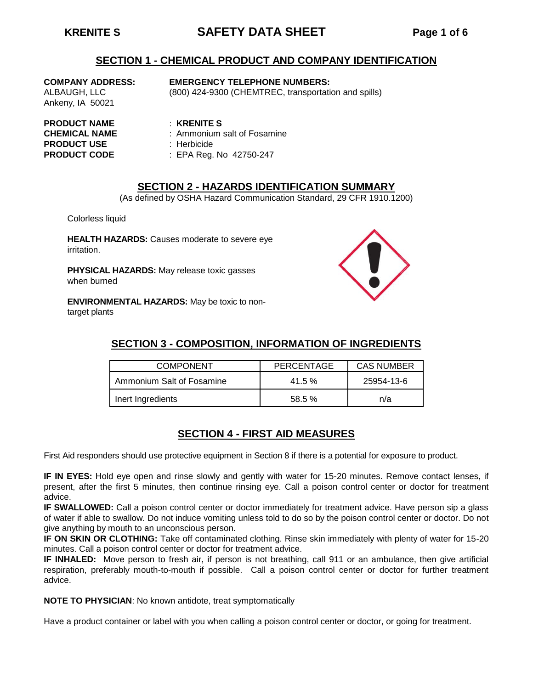# **KRENITE S SAFETY DATA SHEET Page 1 of 6**

#### **SECTION 1 - CHEMICAL PRODUCT AND COMPANY IDENTIFICATION**

Ankeny, IA 50021

#### **COMPANY ADDRESS: EMERGENCY TELEPHONE NUMBERS:**

ALBAUGH, LLC (800) 424-9300 (CHEMTREC, transportation and spills)

**PRODUCT NAME** : **KRENITE S PRODUCT USE** : Herbicide

- **CHEMICAL NAME** : Ammonium salt of Fosamine
	-
- **PRODUCT CODE** : EPA Reg. No 42750-247

## **SECTION 2 - HAZARDS IDENTIFICATION SUMMARY**

(As defined by OSHA Hazard Communication Standard, 29 CFR 1910.1200)

Colorless liquid

**HEALTH HAZARDS:** Causes moderate to severe eye irritation.

**PHYSICAL HAZARDS:** May release toxic gasses when burned

**ENVIRONMENTAL HAZARDS:** May be toxic to nontarget plants



# **SECTION 3 - COMPOSITION, INFORMATION OF INGREDIENTS**

| <b>COMPONENT</b>          | PERCENTAGE | <b>CAS NUMBER</b> |  |
|---------------------------|------------|-------------------|--|
| Ammonium Salt of Fosamine | $41.5\%$   | 25954-13-6        |  |
| Inert Ingredients         | $58.5 \%$  | n/a               |  |

## **SECTION 4 - FIRST AID MEASURES**

First Aid responders should use protective equipment in Section 8 if there is a potential for exposure to product.

**IF IN EYES:** Hold eye open and rinse slowly and gently with water for 15-20 minutes. Remove contact lenses, if present, after the first 5 minutes, then continue rinsing eye. Call a poison control center or doctor for treatment advice.

**IF SWALLOWED:** Call a poison control center or doctor immediately for treatment advice. Have person sip a glass of water if able to swallow. Do not induce vomiting unless told to do so by the poison control center or doctor. Do not give anything by mouth to an unconscious person.

**IF ON SKIN OR CLOTHING:** Take off contaminated clothing. Rinse skin immediately with plenty of water for 15-20 minutes. Call a poison control center or doctor for treatment advice.

**IF INHALED:** Move person to fresh air, if person is not breathing, call 911 or an ambulance, then give artificial respiration, preferably mouth-to-mouth if possible. Call a poison control center or doctor for further treatment advice.

**NOTE TO PHYSICIAN**: No known antidote, treat symptomatically

Have a product container or label with you when calling a poison control center or doctor, or going for treatment.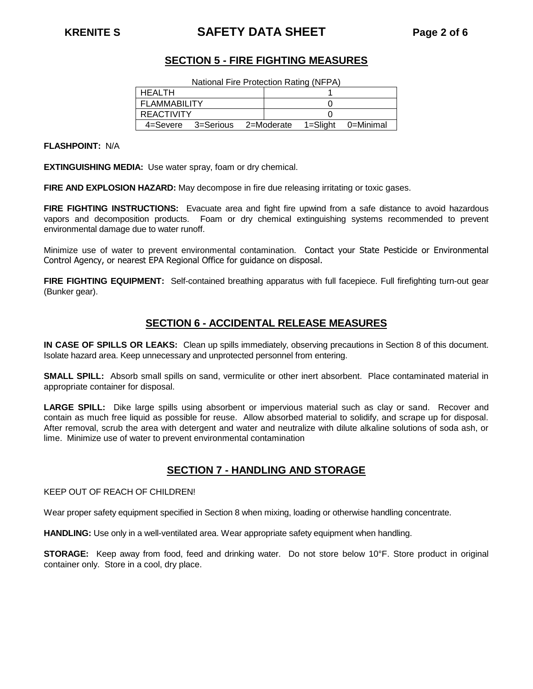# **KRENITE S SAFETY DATA SHEET Page 2 of 6**

## **SECTION 5 - FIRE FIGHTING MEASURES**

National Fire Protection Rating (NFPA)

| HEALTH            |                    |            |  |          |           |
|-------------------|--------------------|------------|--|----------|-----------|
| FLAMMABILITY      |                    |            |  |          |           |
| <b>REACTIVITY</b> |                    |            |  |          |           |
|                   | 4=Severe 3=Serious | 2=Moderate |  | 1=Sliaht | 0=Minimal |

**FLASHPOINT:** N/A

**EXTINGUISHING MEDIA:** Use water spray, foam or dry chemical.

**FIRE AND EXPLOSION HAZARD:** May decompose in fire due releasing irritating or toxic gases.

**FIRE FIGHTING INSTRUCTIONS:** Evacuate area and fight fire upwind from a safe distance to avoid hazardous vapors and decomposition products. Foam or dry chemical extinguishing systems recommended to prevent environmental damage due to water runoff.

Minimize use of water to prevent environmental contamination. Contact your State Pesticide or Environmental Control Agency, or nearest EPA Regional Office for guidance on disposal.

**FIRE FIGHTING EQUIPMENT:** Self-contained breathing apparatus with full facepiece. Full firefighting turn-out gear (Bunker gear).

#### **SECTION 6 - ACCIDENTAL RELEASE MEASURES**

**IN CASE OF SPILLS OR LEAKS:** Clean up spills immediately, observing precautions in Section 8 of this document. Isolate hazard area. Keep unnecessary and unprotected personnel from entering.

**SMALL SPILL:** Absorb small spills on sand, vermiculite or other inert absorbent. Place contaminated material in appropriate container for disposal.

**LARGE SPILL:** Dike large spills using absorbent or impervious material such as clay or sand. Recover and contain as much free liquid as possible for reuse. Allow absorbed material to solidify, and scrape up for disposal. After removal, scrub the area with detergent and water and neutralize with dilute alkaline solutions of soda ash, or lime. Minimize use of water to prevent environmental contamination

#### **SECTION 7 - HANDLING AND STORAGE**

KEEP OUT OF REACH OF CHILDREN!

Wear proper safety equipment specified in Section 8 when mixing, loading or otherwise handling concentrate.

**HANDLING:** Use only in a well-ventilated area. Wear appropriate safety equipment when handling.

**STORAGE:** Keep away from food, feed and drinking water. Do not store below 10°F. Store product in original container only. Store in a cool, dry place.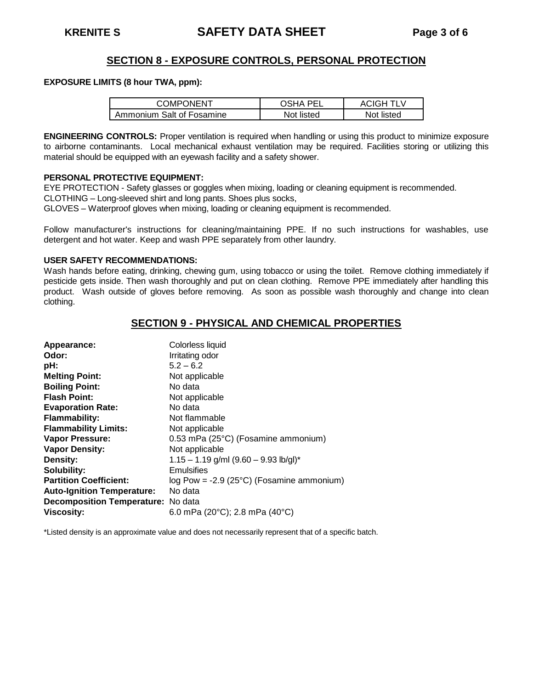## **SECTION 8 - EXPOSURE CONTROLS, PERSONAL PROTECTION**

#### **EXPOSURE LIMITS (8 hour TWA, ppm):**

| <b>COMPONENT</b>          | ารหA PFI   | ACIGH TLV  |
|---------------------------|------------|------------|
| Ammonium Salt of Fosamine | Not listed | Not listed |

**ENGINEERING CONTROLS:** Proper ventilation is required when handling or using this product to minimize exposure to airborne contaminants. Local mechanical exhaust ventilation may be required. Facilities storing or utilizing this material should be equipped with an eyewash facility and a safety shower.

#### **PERSONAL PROTECTIVE EQUIPMENT:**

EYE PROTECTION - Safety glasses or goggles when mixing, loading or cleaning equipment is recommended. CLOTHING – Long-sleeved shirt and long pants. Shoes plus socks,

GLOVES – Waterproof gloves when mixing, loading or cleaning equipment is recommended.

Follow manufacturer's instructions for cleaning/maintaining PPE. If no such instructions for washables, use detergent and hot water. Keep and wash PPE separately from other laundry.

#### **USER SAFETY RECOMMENDATIONS:**

Wash hands before eating, drinking, chewing gum, using tobacco or using the toilet. Remove clothing immediately if pesticide gets inside. Then wash thoroughly and put on clean clothing. Remove PPE immediately after handling this product. Wash outside of gloves before removing. As soon as possible wash thoroughly and change into clean clothing.

#### **SECTION 9 - PHYSICAL AND CHEMICAL PROPERTIES**

| Appearance:                        | Colorless liquid                                     |
|------------------------------------|------------------------------------------------------|
| Odor:                              | Irritating odor                                      |
| pH:                                | $5.2 - 6.2$                                          |
| <b>Melting Point:</b>              | Not applicable                                       |
| <b>Boiling Point:</b>              | No data                                              |
| <b>Flash Point:</b>                | Not applicable                                       |
| <b>Evaporation Rate:</b>           | No data                                              |
| <b>Flammability:</b>               | Not flammable                                        |
| <b>Flammability Limits:</b>        | Not applicable                                       |
| Vapor Pressure:                    | 0.53 mPa (25°C) (Fosamine ammonium)                  |
| <b>Vapor Density:</b>              | Not applicable                                       |
| Density:                           | $1.15 - 1.19$ g/ml $(9.60 - 9.93$ lb/gl)*            |
| Solubility:                        | Emulsifies                                           |
| <b>Partition Coefficient:</b>      | $log Pow = -2.9 (25°C)$ (Fosamine ammonium)          |
| <b>Auto-Ignition Temperature:</b>  | No data                                              |
| Decomposition Temperature: No data |                                                      |
| <b>Viscosity:</b>                  | 6.0 mPa (20 $^{\circ}$ C); 2.8 mPa (40 $^{\circ}$ C) |

\*Listed density is an approximate value and does not necessarily represent that of a specific batch.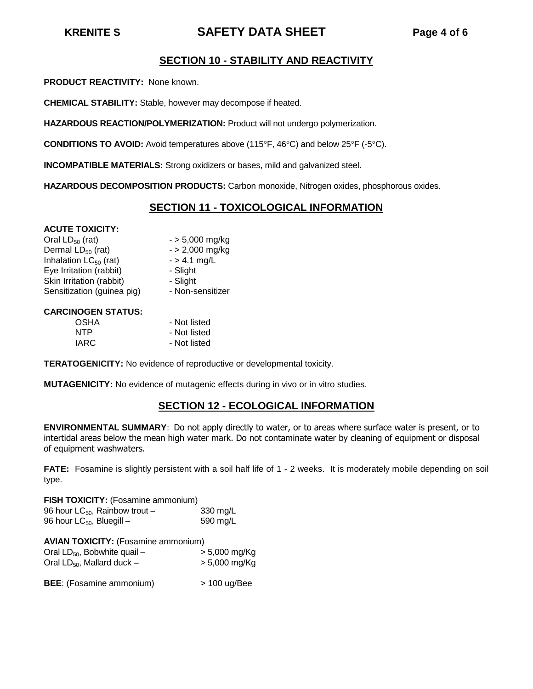# **KRENITE S SAFETY DATA SHEET Page 4 of 6**

## **SECTION 10 - STABILITY AND REACTIVITY**

**PRODUCT REACTIVITY:** None known.

**CHEMICAL STABILITY:** Stable, however may decompose if heated.

**HAZARDOUS REACTION/POLYMERIZATION:** Product will not undergo polymerization.

**CONDITIONS TO AVOID:** Avoid temperatures above (115°F, 46°C) and below 25°F (-5°C).

**INCOMPATIBLE MATERIALS:** Strong oxidizers or bases, mild and galvanized steel.

**HAZARDOUS DECOMPOSITION PRODUCTS:** Carbon monoxide, Nitrogen oxides, phosphorous oxides.

## **SECTION 11 - TOXICOLOGICAL INFORMATION**

#### **ACUTE TOXICITY:**

| Oral $LD_{50}$ (rat)       | $-$ > 5,000 mg/kg |
|----------------------------|-------------------|
| Dermal $LD_{50}$ (rat)     | $-$ > 2,000 mg/kg |
| Inhalation $LC_{50}$ (rat) | $-$ > 4.1 mg/L    |
| Eye Irritation (rabbit)    | - Slight          |
| Skin Irritation (rabbit)   | - Slight          |
| Sensitization (guinea pig) | - Non-sensitizer  |

#### **CARCINOGEN STATUS:**

| OSHA       | - Not listed |
|------------|--------------|
| <b>NTP</b> | - Not listed |
| IARC       | - Not listed |

**TERATOGENICITY:** No evidence of reproductive or developmental toxicity.

**MUTAGENICITY:** No evidence of mutagenic effects during in vivo or in vitro studies.

#### **SECTION 12 - ECOLOGICAL INFORMATION**

**ENVIRONMENTAL SUMMARY**: Do not apply directly to water, or to areas where surface water is present, or to intertidal areas below the mean high water mark. Do not contaminate water by cleaning of equipment or disposal of equipment washwaters.

**FATE:** Fosamine is slightly persistent with a soil half life of 1 - 2 weeks. It is moderately mobile depending on soil type.

**FISH TOXICITY:** (Fosamine ammonium) 96 hour  $LC_{50}$ , Rainbow trout – 330 mg/L<br>96 hour  $LC_{50}$ , Bluegill – 590 mg/L 96 hour  $LC_{50}$ , Bluegill –

| <b>AVIAN TOXICITY:</b> (Fosamine ammonium) |                            |  |  |  |  |
|--------------------------------------------|----------------------------|--|--|--|--|
| Oral $LD_{50}$ , Bobwhite quail –          | $> 5,000 \,\mathrm{mg/Kg}$ |  |  |  |  |
| Oral $LD_{50}$ , Mallard duck –            | $> 5,000$ mg/Kg            |  |  |  |  |

**BEE**: (Fosamine ammonium) > 100 ug/Bee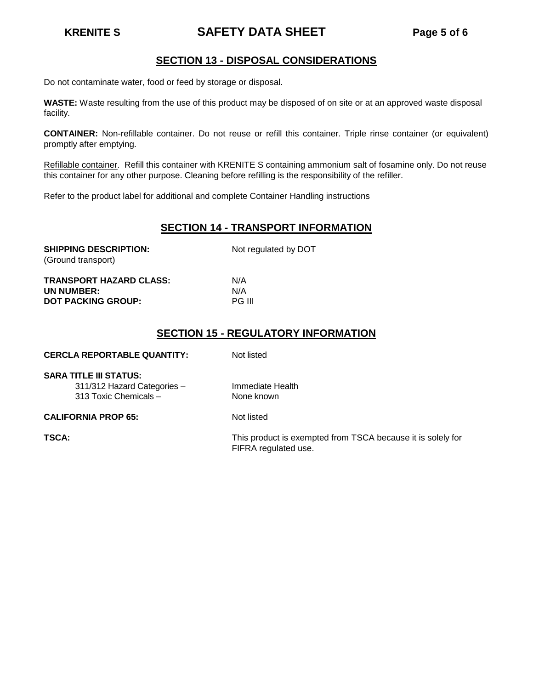# **KRENITE S SAFETY DATA SHEET Page 5 of 6**

## **SECTION 13 - DISPOSAL CONSIDERATIONS**

Do not contaminate water, food or feed by storage or disposal.

**WASTE:** Waste resulting from the use of this product may be disposed of on site or at an approved waste disposal facility.

**CONTAINER:** Non-refillable container. Do not reuse or refill this container. Triple rinse container (or equivalent) promptly after emptying.

Refillable container. Refill this container with KRENITE S containing ammonium salt of fosamine only. Do not reuse this container for any other purpose. Cleaning before refilling is the responsibility of the refiller.

Refer to the product label for additional and complete Container Handling instructions

#### **SECTION 14 - TRANSPORT INFORMATION**

| <b>SHIPPING DESCRIPTION:</b><br>(Ground transport) | Not regulated by DOT |
|----------------------------------------------------|----------------------|
| <b>TRANSPORT HAZARD CLASS:</b>                     | N/A                  |
| UN NUMBER:                                         | N/A                  |
| <b>DOT PACKING GROUP:</b>                          | <b>PG III</b>        |

#### **SECTION 15 - REGULATORY INFORMATION**

| <b>CERCLA REPORTABLE QUANTITY:</b> | Not listed                                                                          |
|------------------------------------|-------------------------------------------------------------------------------------|
| <b>SARA TITLE III STATUS:</b>      |                                                                                     |
| 311/312 Hazard Categories -        | Immediate Health                                                                    |
| 313 Toxic Chemicals -              | None known                                                                          |
| <b>CALIFORNIA PROP 65:</b>         | Not listed                                                                          |
| TSCA:                              | This product is exempted from TSCA because it is solely for<br>FIFRA regulated use. |